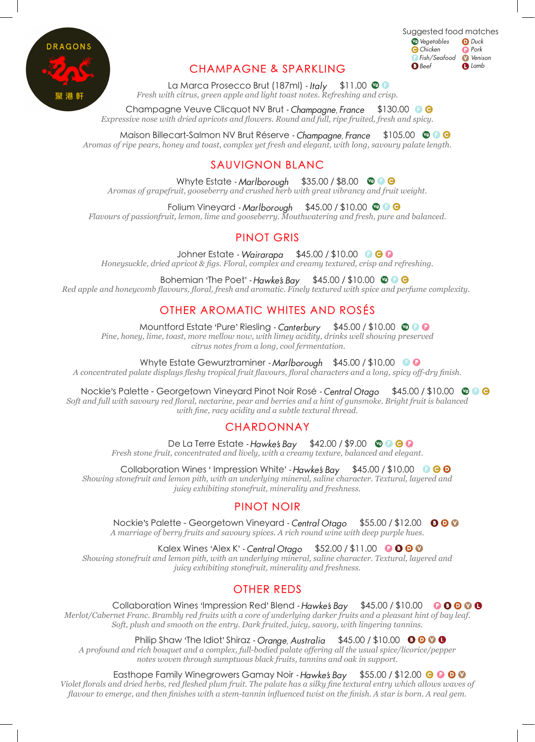

## CHAMPAGNE & SPARKLING

Suggested food matches **Vegetables** Chicken Fish/Seafood **O** Beef  $D$  Duck **P** Pork **V**enison **O** Lamb

La Marca Prosecco Brut (187ml) - Italy \$11.00 <sup>o</sup> *Fresh with citrus, green apple and light toast notes. Refreshing and crisp.* 

Champagne Veuve Clicquot NV Brut - Champagne, France \$130.00 0 0 *Expressive nose with dried apricots and flowers. Round and full, ripe fruited, fresh and spicy.*

Maison Billecart-Salmon NV Brut Réserve - Champagne, France \$105.00 © C O *Aromas of ripe pears, honey and toast, complex yet fresh and elegant, with long, savoury palate length.*

## SAUVIGNON BLANC

Whyte Estate - Marlborough \$35.00 / \$8.00 @ 0 @ *Aromas of grapefruit, gooseberry and crushed herb with great vibrancy and fruit weight.*

Folium Vineyard - Marlborough  $$45.00 / $10.00$   $@$   $@$ 

*Flavours of passionfruit, lemon, lime and gooseberry. Mouthwatering and fresh, pure and balanced.*

## PINOT GRIS

Johner Estate - Wairarapa \$45.00 / \$10.00 **@ @ @** *Honeysuckle, dried apricot & figs. Floral, complex and creamy textured, crisp and refreshing.*

Bohemian 'The Poet' - Hawke's Bay  $$45.00 / $10.00$   $@$   $@$ *Red apple and honeycomb flavours, floral, fresh and aromatic. Finely textured with spice and perfume complexity.*

# OTHER AROMATIC WHITES AND ROSÉS

Mountford Estate 'Pure' Riesling - Canterbury \$45.00 / \$10.00 @ 0 0

*Pine, honey, lime, toast, more mellow now, with limey acidity, drinks well showing preserved citrus notes from a long, cool fermentation.*

Whyte Estate Gewurztraminer - Marlborough \$45.00 / \$10.00 0 0

*A concentrated palate displays fleshy tropical fruit flavours, floral characters and a long, spicy off-dry finish.*

#### Nockie's Palette - Georgetown Vineyard Pinot Noir Rosé - Central Otago \$45.00 / \$10.00 © 0 ©

*Soft and full with savoury red floral, nectarine, pear and berries and a hint of gunsmoke. Bright fruit is balanced with fine, racy acidity and a subtle textural thread.*

### **CHARDONNAY**

De La Terre Estate - Hawke's Bay  $$42.00 / $9.00$  ©  $\odot$   $\odot$ 

*Fresh stone fruit, concentrated and lively, with a creamy texture, balanced and elegant.*

Collaboration Wines ' Impression White' - Hawke's Bay  $$45.00 / $10.00$   $@$ 

*Showing stonefruit and lemon pith, with an underlying mineral, saline character. Textural, layered and juicy exhibiting stonefruit, minerality and freshness.*

### PINOT NOIR

Nockie's Palette - Georgetown Vineyard - Central Otago \$55.00 / \$12.00 000 *A marriage of berry fruits and savoury spices. A rich round wine with deep purple hues.*

Kalex Wines 'Alex K' - Central Otago \$52.00 / \$11.00

*Showing stonefruit and lemon pith, with an underlying mineral, saline character. Textural, layered and juicy exhibiting stonefruit, minerality and freshness.*

# OTHER REDS

Collaboration Wines 'Impression Red' Blend - Hawke's Bay  $$45.00 / $10.00$   $\odot$   $\odot$   $\odot$   $\odot$ *Merlot/Cabernet Franc. Brambly red fruits with a core of underlying darker fruits and a pleasant hint of bay leaf. Soft, plush and smooth on the entry. Dark fruited, juicy, savory, with lingering tannins.*

Philip Shaw 'The Idiot' Shiraz - Orange, Australia  $$45.00 / $10.00$  OO OO

*A profound and rich bouquet and a complex, full-bodied palate offering all the usual spice/licorice/pepper notes woven through sumptuous black fruits, tannins and oak in support.*

#### Easthope Family Winegrowers Gamay Noir - Hawke's Bay  $$55.00 / $12.00$   $\odot$   $\odot$   $\odot$

*Violet florals and dried herbs, red fleshed plum fruit. The palate has a silky fine textural entry which allows waves of flavour to emerge, and then finishes with a stem-tannin influenced twist on the finish. A star is born. A real gem.*